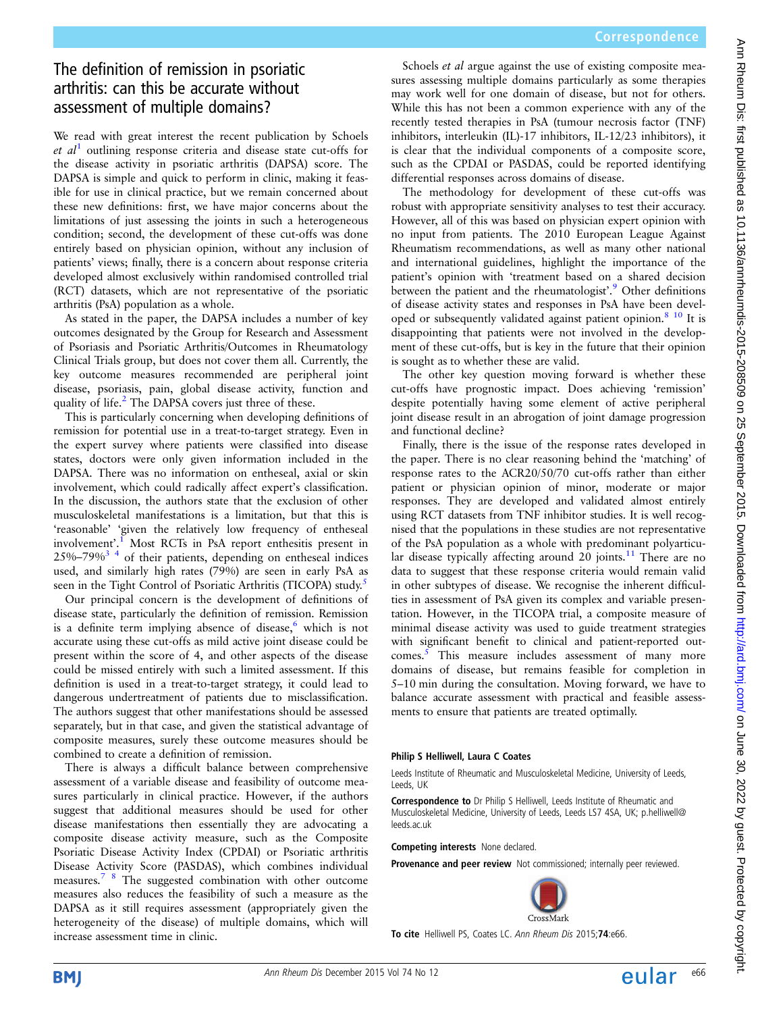## The definition of remission in psoriatic arthritis: can this be accurate without assessment of multiple domains?

We read with great interest the recent publication by Schoels  $et \text{ }al^1$  $et \text{ }al^1$  outlining response criteria and disease state cut-offs for the disease activity in psoriatic arthritis (DAPSA) score. The DAPSA is simple and quick to perform in clinic, making it feasible for use in clinical practice, but we remain concerned about these new definitions: first, we have major concerns about the limitations of just assessing the joints in such a heterogeneous condition; second, the development of these cut-offs was done entirely based on physician opinion, without any inclusion of patients' views; finally, there is a concern about response criteria developed almost exclusively within randomised controlled trial (RCT) datasets, which are not representative of the psoriatic arthritis (PsA) population as a whole.

As stated in the paper, the DAPSA includes a number of key outcomes designated by the Group for Research and Assessment of Psoriasis and Psoriatic Arthritis/Outcomes in Rheumatology Clinical Trials group, but does not cover them all. Currently, the key outcome measures recommended are peripheral joint disease, psoriasis, pain, global disease activity, function and quality of life.<sup>[2](#page-1-0)</sup> The DAPSA covers just three of these.

This is particularly concerning when developing definitions of remission for potential use in a treat-to-target strategy. Even in the expert survey where patients were classified into disease states, doctors were only given information included in the DAPSA. There was no information on entheseal, axial or skin involvement, which could radically affect expert's classification. In the discussion, the authors state that the exclusion of other musculoskeletal manifestations is a limitation, but that this is 'reasonable' 'given the relatively low frequency of entheseal involvement'.<sup>[1](#page-1-0)</sup> Most RCTs in PsA report enthesitis present in  $25\% -79\%$ <sup>3</sup> <sup>4</sup> of their patients, depending on entheseal indices used, and similarly high rates (79%) are seen in early PsA as seen in the Tight Control of Psoriatic Arthritis (TICOPA) study.<sup>[5](#page-1-0)</sup>

Our principal concern is the development of definitions of disease state, particularly the definition of remission. Remission is a definite term implying absence of disease, which is not accurate using these cut-offs as mild active joint disease could be present within the score of 4, and other aspects of the disease could be missed entirely with such a limited assessment. If this definition is used in a treat-to-target strategy, it could lead to dangerous undertreatment of patients due to misclassification. The authors suggest that other manifestations should be assessed separately, but in that case, and given the statistical advantage of composite measures, surely these outcome measures should be combined to create a definition of remission.

There is always a difficult balance between comprehensive assessment of a variable disease and feasibility of outcome measures particularly in clinical practice. However, if the authors suggest that additional measures should be used for other disease manifestations then essentially they are advocating a composite disease activity measure, such as the Composite Psoriatic Disease Activity Index (CPDAI) or Psoriatic arthritis Disease Activity Score (PASDAS), which combines individual measures.[7 8](#page-1-0) The suggested combination with other outcome measures also reduces the feasibility of such a measure as the DAPSA as it still requires assessment (appropriately given the heterogeneity of the disease) of multiple domains, which will increase assessment time in clinic.

Schoels *et al* argue against the use of existing composite measures assessing multiple domains particularly as some therapies may work well for one domain of disease, but not for others. While this has not been a common experience with any of the recently tested therapies in PsA (tumour necrosis factor (TNF) inhibitors, interleukin (IL)-17 inhibitors, IL-12/23 inhibitors), it is clear that the individual components of a composite score, such as the CPDAI or PASDAS, could be reported identifying differential responses across domains of disease.

The methodology for development of these cut-offs was robust with appropriate sensitivity analyses to test their accuracy. However, all of this was based on physician expert opinion with no input from patients. The 2010 European League Against Rheumatism recommendations, as well as many other national and international guidelines, highlight the importance of the patient's opinion with 'treatment based on a shared decision between the patient and the rheumatologist'.<sup>[9](#page-1-0)</sup> Other definitions of disease activity states and responses in PsA have been developed or subsequently validated against patient opinion.<sup>8</sup> <sup>10</sup> It is disappointing that patients were not involved in the development of these cut-offs, but is key in the future that their opinion is sought as to whether these are valid.

The other key question moving forward is whether these cut-offs have prognostic impact. Does achieving 'remission' despite potentially having some element of active peripheral joint disease result in an abrogation of joint damage progression and functional decline?

Finally, there is the issue of the response rates developed in the paper. There is no clear reasoning behind the 'matching' of response rates to the ACR20/50/70 cut-offs rather than either patient or physician opinion of minor, moderate or major responses. They are developed and validated almost entirely using RCT datasets from TNF inhibitor studies. It is well recognised that the populations in these studies are not representative of the PsA population as a whole with predominant polyarticu-lar disease typically affecting around 20 joints.<sup>[11](#page-1-0)</sup> There are no data to suggest that these response criteria would remain valid in other subtypes of disease. We recognise the inherent difficulties in assessment of PsA given its complex and variable presentation. However, in the TICOPA trial, a composite measure of minimal disease activity was used to guide treatment strategies with significant benefit to clinical and patient-reported outcomes.[5](#page-1-0) This measure includes assessment of many more domains of disease, but remains feasible for completion in 5–10 min during the consultation. Moving forward, we have to balance accurate assessment with practical and feasible assessments to ensure that patients are treated optimally.

## Philip S Helliwell, Laura C Coates

Leeds Institute of Rheumatic and Musculoskeletal Medicine, University of Leeds, Leeds, UK

Correspondence to Dr Philip S Helliwell, Leeds Institute of Rheumatic and Musculoskeletal Medicine, University of Leeds, Leeds LS7 4SA, UK; p.helliwell@ leeds.ac.uk

Competing interests None declared.

Provenance and peer review Not commissioned; internally peer reviewed.



To cite Helliwell PS, Coates LC. Ann Rheum Dis 2015;74:e66.